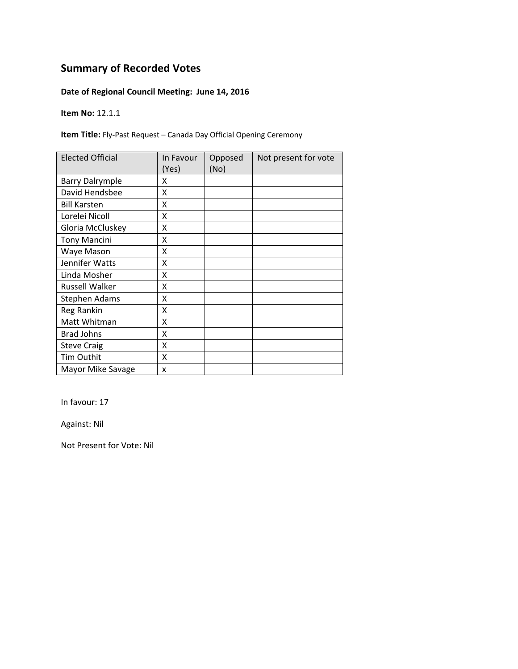### **Date of Regional Council Meeting: June 14, 2016**

**Item No:** 12.1.1

**Item Title:** Fly‐Past Request – Canada Day Official Opening Ceremony

| <b>Elected Official</b> | In Favour<br>(Yes) | Opposed<br>(No) | Not present for vote |
|-------------------------|--------------------|-----------------|----------------------|
| <b>Barry Dalrymple</b>  | x                  |                 |                      |
| David Hendsbee          | X                  |                 |                      |
| <b>Bill Karsten</b>     | X                  |                 |                      |
| Lorelei Nicoll          | X                  |                 |                      |
| Gloria McCluskey        | X                  |                 |                      |
| <b>Tony Mancini</b>     | Χ                  |                 |                      |
| Waye Mason              | Χ                  |                 |                      |
| Jennifer Watts          | X                  |                 |                      |
| Linda Mosher            | Χ                  |                 |                      |
| Russell Walker          | Χ                  |                 |                      |
| Stephen Adams           | Χ                  |                 |                      |
| Reg Rankin              | X                  |                 |                      |
| Matt Whitman            | Χ                  |                 |                      |
| <b>Brad Johns</b>       | X                  |                 |                      |
| <b>Steve Craig</b>      | X                  |                 |                      |
| <b>Tim Outhit</b>       | Χ                  |                 |                      |
| Mayor Mike Savage       | x                  |                 |                      |

In favour: 17

Against: Nil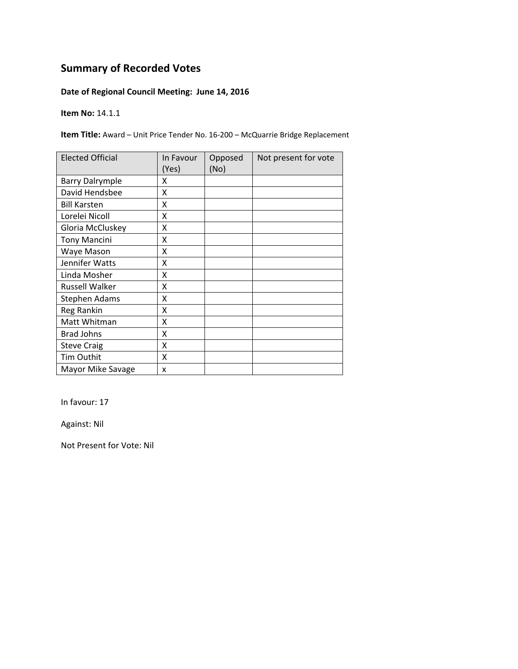### **Date of Regional Council Meeting: June 14, 2016**

**Item No:** 14.1.1

**Item Title:** Award – Unit Price Tender No. 16‐200 – McQuarrie Bridge Replacement

| <b>Elected Official</b> | In Favour<br>(Yes) | Opposed<br>(No) | Not present for vote |
|-------------------------|--------------------|-----------------|----------------------|
| <b>Barry Dalrymple</b>  | x                  |                 |                      |
| David Hendsbee          | X                  |                 |                      |
| <b>Bill Karsten</b>     | X                  |                 |                      |
| Lorelei Nicoll          | X                  |                 |                      |
| Gloria McCluskey        | X                  |                 |                      |
| <b>Tony Mancini</b>     | Χ                  |                 |                      |
| Waye Mason              | Χ                  |                 |                      |
| Jennifer Watts          | X                  |                 |                      |
| Linda Mosher            | Χ                  |                 |                      |
| Russell Walker          | Χ                  |                 |                      |
| Stephen Adams           | Χ                  |                 |                      |
| Reg Rankin              | X                  |                 |                      |
| Matt Whitman            | Χ                  |                 |                      |
| <b>Brad Johns</b>       | X                  |                 |                      |
| <b>Steve Craig</b>      | X                  |                 |                      |
| <b>Tim Outhit</b>       | Χ                  |                 |                      |
| Mayor Mike Savage       | x                  |                 |                      |

In favour: 17

Against: Nil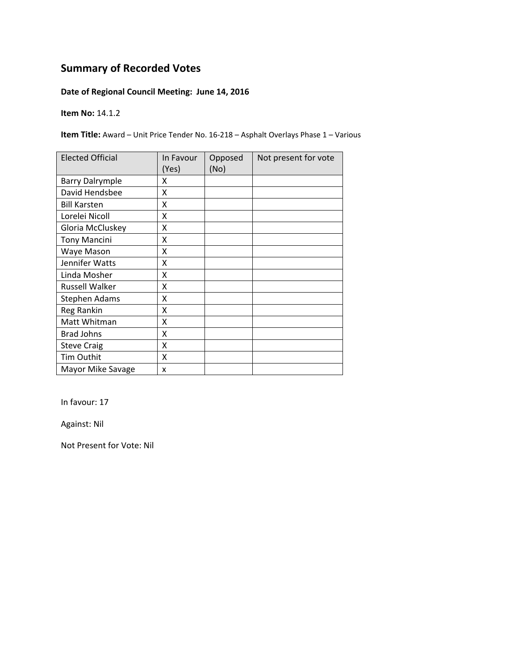### **Date of Regional Council Meeting: June 14, 2016**

**Item No:** 14.1.2

**Item Title:** Award – Unit Price Tender No. 16‐218 – Asphalt Overlays Phase 1 – Various

| <b>Elected Official</b> | In Favour<br>(Yes) | Opposed<br>(No) | Not present for vote |
|-------------------------|--------------------|-----------------|----------------------|
| <b>Barry Dalrymple</b>  | χ                  |                 |                      |
| David Hendsbee          | Χ                  |                 |                      |
| <b>Bill Karsten</b>     | χ                  |                 |                      |
| Lorelei Nicoll          | Χ                  |                 |                      |
| Gloria McCluskey        | Χ                  |                 |                      |
| <b>Tony Mancini</b>     | Χ                  |                 |                      |
| Waye Mason              | Χ                  |                 |                      |
| Jennifer Watts          | Χ                  |                 |                      |
| Linda Mosher            | χ                  |                 |                      |
| <b>Russell Walker</b>   | χ                  |                 |                      |
| Stephen Adams           | χ                  |                 |                      |
| Reg Rankin              | X                  |                 |                      |
| Matt Whitman            | Χ                  |                 |                      |
| <b>Brad Johns</b>       | X                  |                 |                      |
| <b>Steve Craig</b>      | Χ                  |                 |                      |
| Tim Outhit              | X                  |                 |                      |
| Mayor Mike Savage       | X                  |                 |                      |

In favour: 17

Against: Nil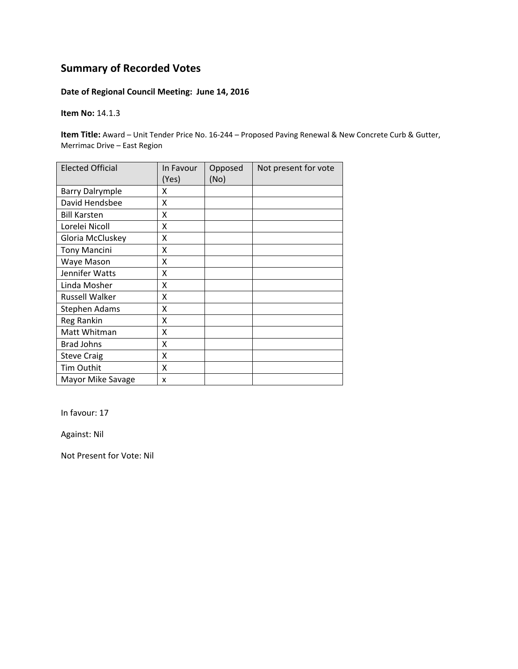### **Date of Regional Council Meeting: June 14, 2016**

**Item No:** 14.1.3

**Item Title:** Award – Unit Tender Price No. 16‐244 – Proposed Paving Renewal & New Concrete Curb & Gutter, Merrimac Drive – East Region

| <b>Elected Official</b> | In Favour<br>(Yes) | Opposed<br>(No) | Not present for vote |
|-------------------------|--------------------|-----------------|----------------------|
| <b>Barry Dalrymple</b>  | x                  |                 |                      |
| David Hendsbee          | Χ                  |                 |                      |
| <b>Bill Karsten</b>     | X                  |                 |                      |
| Lorelei Nicoll          | Χ                  |                 |                      |
| Gloria McCluskey        | X                  |                 |                      |
| <b>Tony Mancini</b>     | X                  |                 |                      |
| Waye Mason              | X                  |                 |                      |
| Jennifer Watts          | X                  |                 |                      |
| Linda Mosher            | X                  |                 |                      |
| Russell Walker          | X                  |                 |                      |
| Stephen Adams           | Χ                  |                 |                      |
| Reg Rankin              | Χ                  |                 |                      |
| Matt Whitman            | Χ                  |                 |                      |
| <b>Brad Johns</b>       | X                  |                 |                      |
| <b>Steve Craig</b>      | Χ                  |                 |                      |
| Tim Outhit              | X                  |                 |                      |
| Mayor Mike Savage       | x                  |                 |                      |

In favour: 17

Against: Nil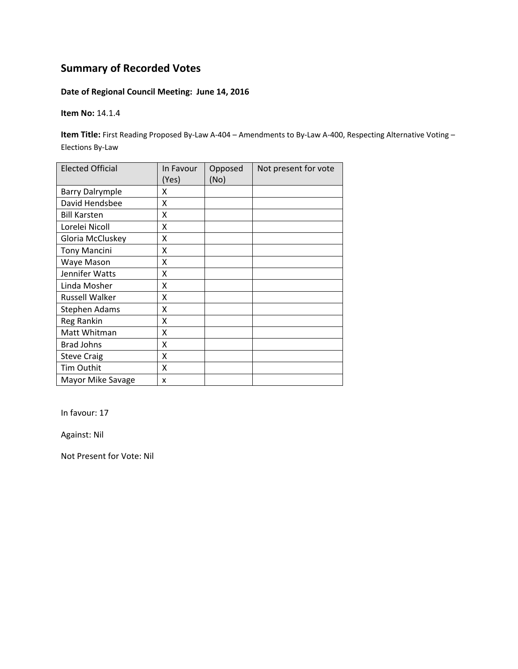### **Date of Regional Council Meeting: June 14, 2016**

**Item No:** 14.1.4

**Item Title:** First Reading Proposed By‐Law A‐404 – Amendments to By‐Law A‐400, Respecting Alternative Voting – Elections By‐Law

| <b>Elected Official</b> | In Favour<br>(Yes) | Opposed<br>(No) | Not present for vote |
|-------------------------|--------------------|-----------------|----------------------|
| <b>Barry Dalrymple</b>  | x                  |                 |                      |
| David Hendsbee          | x                  |                 |                      |
| <b>Bill Karsten</b>     | X                  |                 |                      |
| Lorelei Nicoll          | X                  |                 |                      |
| Gloria McCluskey        | X                  |                 |                      |
| <b>Tony Mancini</b>     | Χ                  |                 |                      |
| Waye Mason              | Χ                  |                 |                      |
| Jennifer Watts          | Χ                  |                 |                      |
| Linda Mosher            | X                  |                 |                      |
| <b>Russell Walker</b>   | X                  |                 |                      |
| Stephen Adams           | X                  |                 |                      |
| <b>Reg Rankin</b>       | X                  |                 |                      |
| Matt Whitman            | X                  |                 |                      |
| <b>Brad Johns</b>       | X                  |                 |                      |
| <b>Steve Craig</b>      | X                  |                 |                      |
| Tim Outhit              | X                  |                 |                      |
| Mayor Mike Savage       | x                  |                 |                      |

In favour: 17

Against: Nil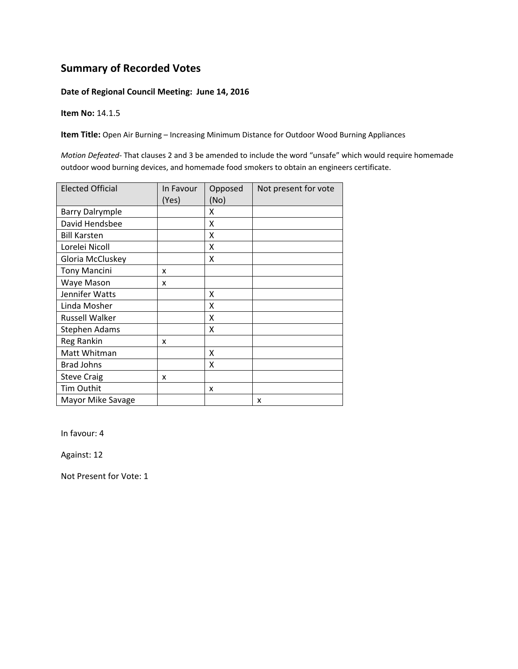#### **Date of Regional Council Meeting: June 14, 2016**

**Item No:** 14.1.5

**Item Title:** Open Air Burning – Increasing Minimum Distance for Outdoor Wood Burning Appliances

*Motion Defeated‐* That clauses 2 and 3 be amended to include the word "unsafe" which would require homemade outdoor wood burning devices, and homemade food smokers to obtain an engineers certificate.

| <b>Elected Official</b> | In Favour | Opposed | Not present for vote |
|-------------------------|-----------|---------|----------------------|
|                         | (Yes)     | (No)    |                      |
| <b>Barry Dalrymple</b>  |           | x       |                      |
| David Hendsbee          |           | Χ       |                      |
| <b>Bill Karsten</b>     |           | X       |                      |
| Lorelei Nicoll          |           | x       |                      |
| Gloria McCluskey        |           | x       |                      |
| <b>Tony Mancini</b>     | x         |         |                      |
| Waye Mason              | x         |         |                      |
| Jennifer Watts          |           | Χ       |                      |
| Linda Mosher            |           | Χ       |                      |
| <b>Russell Walker</b>   |           | Χ       |                      |
| Stephen Adams           |           | X       |                      |
| Reg Rankin              | x         |         |                      |
| Matt Whitman            |           | X       |                      |
| <b>Brad Johns</b>       |           | Χ       |                      |
| <b>Steve Craig</b>      | x         |         |                      |
| <b>Tim Outhit</b>       |           | x       |                      |
| Mayor Mike Savage       |           |         | X                    |

In favour: 4

Against: 12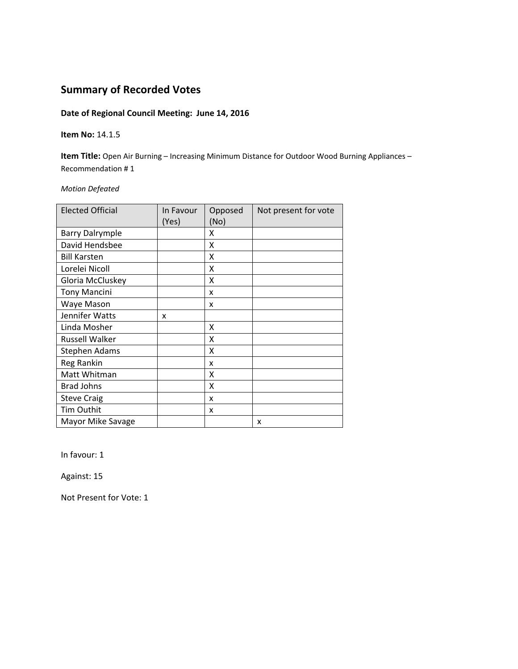### **Date of Regional Council Meeting: June 14, 2016**

#### **Item No:** 14.1.5

**Item Title:** Open Air Burning – Increasing Minimum Distance for Outdoor Wood Burning Appliances – Recommendation # 1

#### *Motion Defeated*

| <b>Elected Official</b> | In Favour<br>(Yes) | Opposed<br>(No) | Not present for vote |
|-------------------------|--------------------|-----------------|----------------------|
| <b>Barry Dalrymple</b>  |                    | x               |                      |
| David Hendsbee          |                    | Χ               |                      |
| <b>Bill Karsten</b>     |                    | X               |                      |
| Lorelei Nicoll          |                    | x               |                      |
| Gloria McCluskey        |                    | Χ               |                      |
| <b>Tony Mancini</b>     |                    | x               |                      |
| Waye Mason              |                    | x               |                      |
| Jennifer Watts          | x                  |                 |                      |
| Linda Mosher            |                    | x               |                      |
| Russell Walker          |                    | x               |                      |
| <b>Stephen Adams</b>    |                    | X               |                      |
| Reg Rankin              |                    | x               |                      |
| Matt Whitman            |                    | Χ               |                      |
| <b>Brad Johns</b>       |                    | X               |                      |
| <b>Steve Craig</b>      |                    | x               |                      |
| Tim Outhit              |                    | x               |                      |
| Mayor Mike Savage       |                    |                 | x                    |

In favour: 1

Against: 15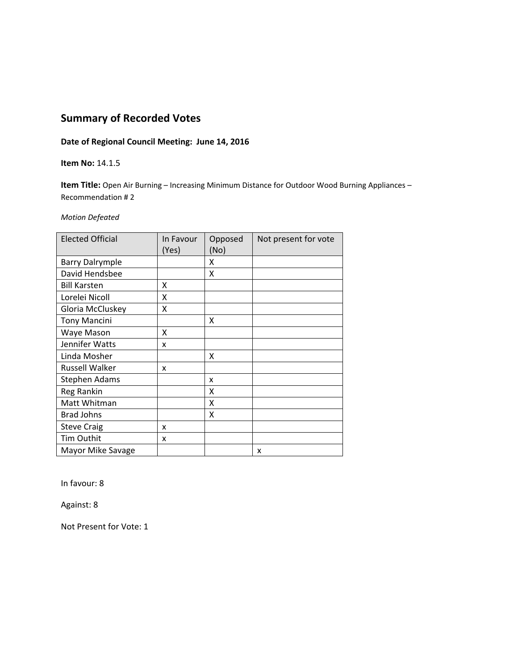### **Date of Regional Council Meeting: June 14, 2016**

#### **Item No:** 14.1.5

**Item Title:** Open Air Burning – Increasing Minimum Distance for Outdoor Wood Burning Appliances – Recommendation # 2

#### *Motion Defeated*

| <b>Elected Official</b> | In Favour<br>(Yes) | Opposed<br>(No) | Not present for vote |
|-------------------------|--------------------|-----------------|----------------------|
| <b>Barry Dalrymple</b>  |                    | x               |                      |
| David Hendsbee          |                    | x               |                      |
| <b>Bill Karsten</b>     | X                  |                 |                      |
| Lorelei Nicoll          | x                  |                 |                      |
| Gloria McCluskey        | X                  |                 |                      |
| <b>Tony Mancini</b>     |                    | X               |                      |
| Waye Mason              | x                  |                 |                      |
| Jennifer Watts          | x                  |                 |                      |
| Linda Mosher            |                    | x               |                      |
| <b>Russell Walker</b>   | x                  |                 |                      |
| <b>Stephen Adams</b>    |                    | x               |                      |
| Reg Rankin              |                    | X               |                      |
| Matt Whitman            |                    | X               |                      |
| <b>Brad Johns</b>       |                    | x               |                      |
| <b>Steve Craig</b>      | x                  |                 |                      |
| Tim Outhit              | x                  |                 |                      |
| Mayor Mike Savage       |                    |                 | X                    |

In favour: 8

Against: 8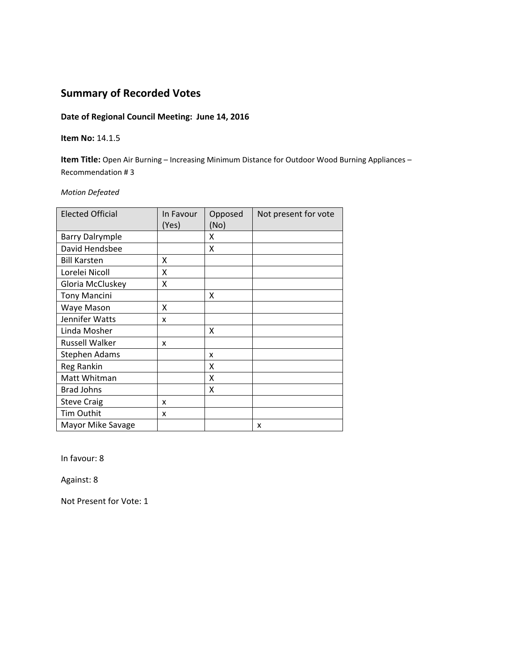#### **Date of Regional Council Meeting: June 14, 2016**

#### **Item No:** 14.1.5

**Item Title:** Open Air Burning – Increasing Minimum Distance for Outdoor Wood Burning Appliances – Recommendation # 3

*Motion Defeated*

| <b>Elected Official</b> | In Favour<br>(Yes) | Opposed<br>(No) | Not present for vote |
|-------------------------|--------------------|-----------------|----------------------|
| <b>Barry Dalrymple</b>  |                    | x               |                      |
| David Hendsbee          |                    | Χ               |                      |
| <b>Bill Karsten</b>     | X                  |                 |                      |
| Lorelei Nicoll          | Χ                  |                 |                      |
| Gloria McCluskey        | Χ                  |                 |                      |
| <b>Tony Mancini</b>     |                    | X               |                      |
| Waye Mason              | X                  |                 |                      |
| Jennifer Watts          | X                  |                 |                      |
| Linda Mosher            |                    | X               |                      |
| <b>Russell Walker</b>   | x                  |                 |                      |
| <b>Stephen Adams</b>    |                    | x               |                      |
| Reg Rankin              |                    | x               |                      |
| Matt Whitman            |                    | X               |                      |
| <b>Brad Johns</b>       |                    | X               |                      |
| <b>Steve Craig</b>      | x                  |                 |                      |
| <b>Tim Outhit</b>       | x                  |                 |                      |
| Mayor Mike Savage       |                    |                 | x                    |

In favour: 8

Against: 8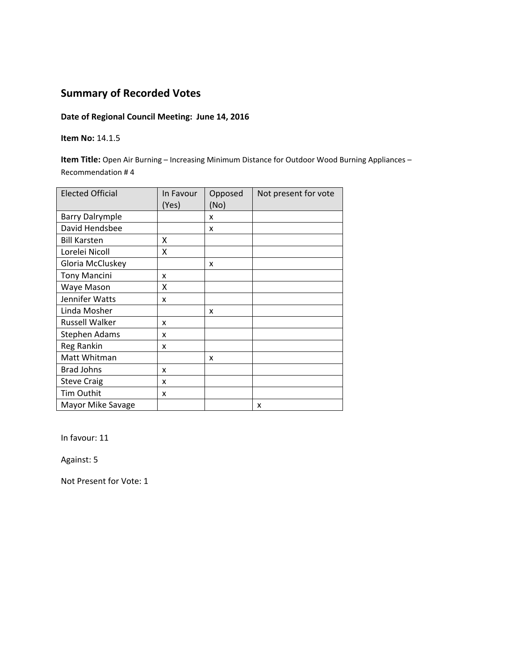#### **Date of Regional Council Meeting: June 14, 2016**

#### **Item No:** 14.1.5

**Item Title:** Open Air Burning – Increasing Minimum Distance for Outdoor Wood Burning Appliances – Recommendation # 4

| <b>Elected Official</b> | In Favour<br>(Yes) | Opposed<br>(No) | Not present for vote |
|-------------------------|--------------------|-----------------|----------------------|
| <b>Barry Dalrymple</b>  |                    | x               |                      |
| David Hendsbee          |                    | x               |                      |
| <b>Bill Karsten</b>     | X                  |                 |                      |
| Lorelei Nicoll          | Χ                  |                 |                      |
| Gloria McCluskey        |                    | x               |                      |
| <b>Tony Mancini</b>     | x                  |                 |                      |
| Waye Mason              | x                  |                 |                      |
| Jennifer Watts          | x                  |                 |                      |
| Linda Mosher            |                    | x               |                      |
| <b>Russell Walker</b>   | x                  |                 |                      |
| <b>Stephen Adams</b>    | x                  |                 |                      |
| Reg Rankin              | x                  |                 |                      |
| Matt Whitman            |                    | x               |                      |
| <b>Brad Johns</b>       | x                  |                 |                      |
| <b>Steve Craig</b>      | x                  |                 |                      |
| Tim Outhit              | x                  |                 |                      |
| Mayor Mike Savage       |                    |                 | X                    |

In favour: 11

Against: 5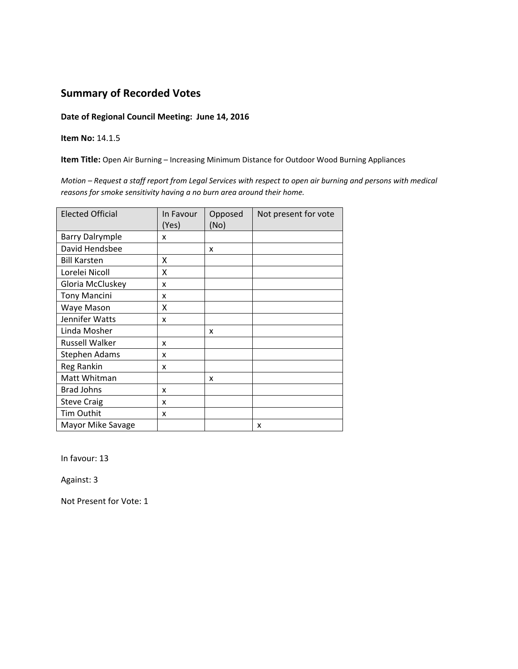#### **Date of Regional Council Meeting: June 14, 2016**

**Item No:** 14.1.5

**Item Title:** Open Air Burning – Increasing Minimum Distance for Outdoor Wood Burning Appliances

Motion - Request a staff report from Legal Services with respect to open air burning and persons with medical *reasons for smoke sensitivity having a no burn area around their home.* 

| <b>Elected Official</b> | In Favour<br>(Yes) | Opposed<br>(No) | Not present for vote |
|-------------------------|--------------------|-----------------|----------------------|
| <b>Barry Dalrymple</b>  | x                  |                 |                      |
| David Hendsbee          |                    | X               |                      |
| <b>Bill Karsten</b>     | x                  |                 |                      |
| Lorelei Nicoll          | X                  |                 |                      |
| Gloria McCluskey        | x                  |                 |                      |
| <b>Tony Mancini</b>     | x                  |                 |                      |
| Waye Mason              | X                  |                 |                      |
| Jennifer Watts          | x                  |                 |                      |
| Linda Mosher            |                    | x               |                      |
| <b>Russell Walker</b>   | x                  |                 |                      |
| <b>Stephen Adams</b>    | x                  |                 |                      |
| Reg Rankin              | x                  |                 |                      |
| Matt Whitman            |                    | x               |                      |
| <b>Brad Johns</b>       | x                  |                 |                      |
| <b>Steve Craig</b>      | x                  |                 |                      |
| Tim Outhit              | x                  |                 |                      |
| Mayor Mike Savage       |                    |                 | x                    |

In favour: 13

Against: 3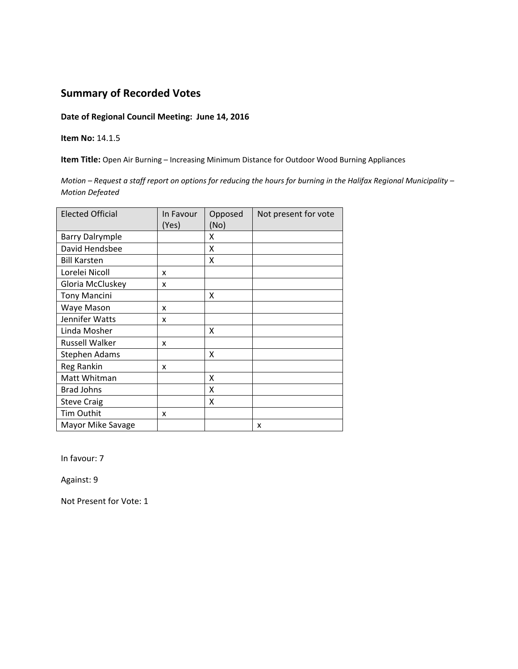#### **Date of Regional Council Meeting: June 14, 2016**

**Item No:** 14.1.5

**Item Title:** Open Air Burning – Increasing Minimum Distance for Outdoor Wood Burning Appliances

Motion - Request a staff report on options for reducing the hours for burning in the Halifax Regional Municipality -*Motion Defeated*

| <b>Elected Official</b> | In Favour<br>(Yes) | Opposed<br>(No) | Not present for vote |
|-------------------------|--------------------|-----------------|----------------------|
| <b>Barry Dalrymple</b>  |                    | x               |                      |
| David Hendsbee          |                    | Χ               |                      |
| <b>Bill Karsten</b>     |                    | x               |                      |
| Lorelei Nicoll          | x                  |                 |                      |
| Gloria McCluskey        | x                  |                 |                      |
| <b>Tony Mancini</b>     |                    | X               |                      |
| Waye Mason              | x                  |                 |                      |
| Jennifer Watts          | x                  |                 |                      |
| Linda Mosher            |                    | X               |                      |
| <b>Russell Walker</b>   | x                  |                 |                      |
| <b>Stephen Adams</b>    |                    | X               |                      |
| Reg Rankin              | x                  |                 |                      |
| Matt Whitman            |                    | x               |                      |
| <b>Brad Johns</b>       |                    | X               |                      |
| <b>Steve Craig</b>      |                    | x               |                      |
| Tim Outhit              | x                  |                 |                      |
| Mayor Mike Savage       |                    |                 | x                    |

In favour: 7

Against: 9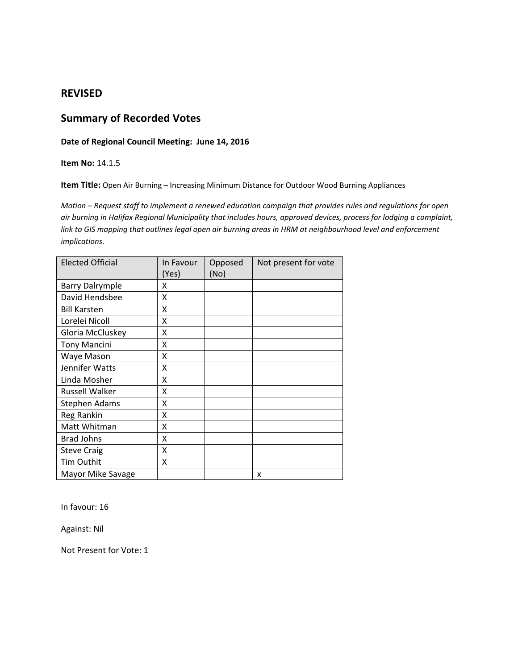### **REVISED**

## **Summary of Recorded Votes**

#### **Date of Regional Council Meeting: June 14, 2016**

#### **Item No:** 14.1.5

**Item Title:** Open Air Burning – Increasing Minimum Distance for Outdoor Wood Burning Appliances

Motion - Request staff to implement a renewed education campaign that provides rules and regulations for open air burning in Halifax Regional Municipality that includes hours, approved devices, process for lodging a complaint, link to GIS mapping that outlines legal open air burning areas in HRM at neighbourhood level and enforcement *implications.* 

| <b>Elected Official</b> | In Favour<br>(Yes) | Opposed<br>(No) | Not present for vote |
|-------------------------|--------------------|-----------------|----------------------|
| <b>Barry Dalrymple</b>  | x                  |                 |                      |
| David Hendsbee          | Χ                  |                 |                      |
| <b>Bill Karsten</b>     | x                  |                 |                      |
| Lorelei Nicoll          | x                  |                 |                      |
| Gloria McCluskey        | X                  |                 |                      |
| <b>Tony Mancini</b>     | Χ                  |                 |                      |
| Waye Mason              | Χ                  |                 |                      |
| Jennifer Watts          | X                  |                 |                      |
| Linda Mosher            | X                  |                 |                      |
| <b>Russell Walker</b>   | χ                  |                 |                      |
| <b>Stephen Adams</b>    | X                  |                 |                      |
| <b>Reg Rankin</b>       | Χ                  |                 |                      |
| Matt Whitman            | Χ                  |                 |                      |
| <b>Brad Johns</b>       | Χ                  |                 |                      |
| <b>Steve Craig</b>      | Χ                  |                 |                      |
| Tim Outhit              | Χ                  |                 |                      |
| Mayor Mike Savage       |                    |                 | x                    |

In favour: 16

Against: Nil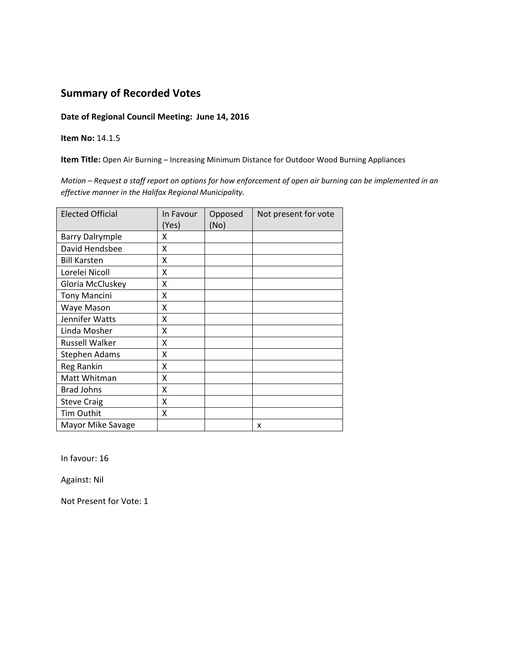#### **Date of Regional Council Meeting: June 14, 2016**

**Item No:** 14.1.5

**Item Title:** Open Air Burning – Increasing Minimum Distance for Outdoor Wood Burning Appliances

Motion - Request a staff report on options for how enforcement of open air burning can be implemented in an *effective manner in the Halifax Regional Municipality.* 

| <b>Elected Official</b> | In Favour | Opposed | Not present for vote |
|-------------------------|-----------|---------|----------------------|
|                         | (Yes)     | (No)    |                      |
| <b>Barry Dalrymple</b>  | Χ         |         |                      |
| David Hendsbee          | X         |         |                      |
| <b>Bill Karsten</b>     | Χ         |         |                      |
| Lorelei Nicoll          | Χ         |         |                      |
| Gloria McCluskey        | Χ         |         |                      |
| <b>Tony Mancini</b>     | Χ         |         |                      |
| Waye Mason              | X         |         |                      |
| Jennifer Watts          | Χ         |         |                      |
| Linda Mosher            | Χ         |         |                      |
| <b>Russell Walker</b>   | x         |         |                      |
| <b>Stephen Adams</b>    | χ         |         |                      |
| Reg Rankin              | Χ         |         |                      |
| Matt Whitman            | X         |         |                      |
| <b>Brad Johns</b>       | Χ         |         |                      |
| <b>Steve Craig</b>      | X         |         |                      |
| Tim Outhit              | X         |         |                      |
| Mayor Mike Savage       |           |         | x                    |

In favour: 16

Against: Nil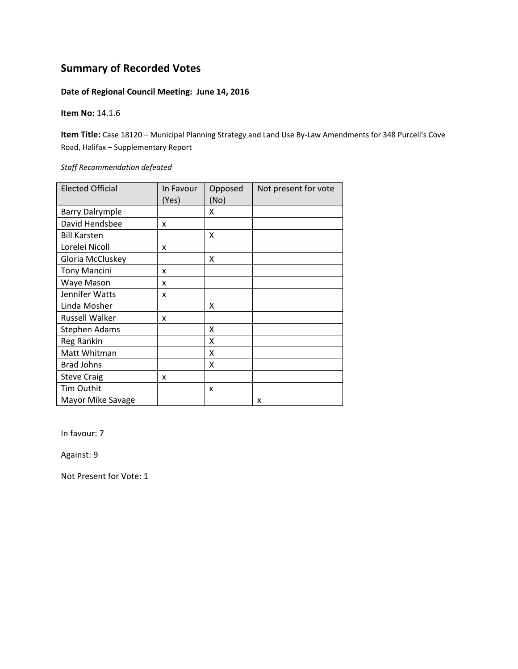### **Date of Regional Council Meeting: June 14, 2016**

**Item No:** 14.1.6

**Item Title:** Case 18120 – Municipal Planning Strategy and Land Use By‐Law Amendments for 348 Purcell's Cove Road, Halifax – Supplementary Report

*Staff Recommendation defeated*

| <b>Elected Official</b> | In Favour<br>(Yes) | Opposed<br>(No) | Not present for vote |
|-------------------------|--------------------|-----------------|----------------------|
| <b>Barry Dalrymple</b>  |                    | x               |                      |
| David Hendsbee          | X                  |                 |                      |
| <b>Bill Karsten</b>     |                    | X               |                      |
| Lorelei Nicoll          | X                  |                 |                      |
| Gloria McCluskey        |                    | x               |                      |
| <b>Tony Mancini</b>     | x                  |                 |                      |
| Waye Mason              | x                  |                 |                      |
| Jennifer Watts          | x                  |                 |                      |
| Linda Mosher            |                    | X               |                      |
| <b>Russell Walker</b>   | x                  |                 |                      |
| <b>Stephen Adams</b>    |                    | X               |                      |
| Reg Rankin              |                    | X               |                      |
| Matt Whitman            |                    | Χ               |                      |
| <b>Brad Johns</b>       |                    | X               |                      |
| <b>Steve Craig</b>      | x                  |                 |                      |
| Tim Outhit              |                    | x               |                      |
| Mayor Mike Savage       |                    |                 | X                    |

In favour: 7

Against: 9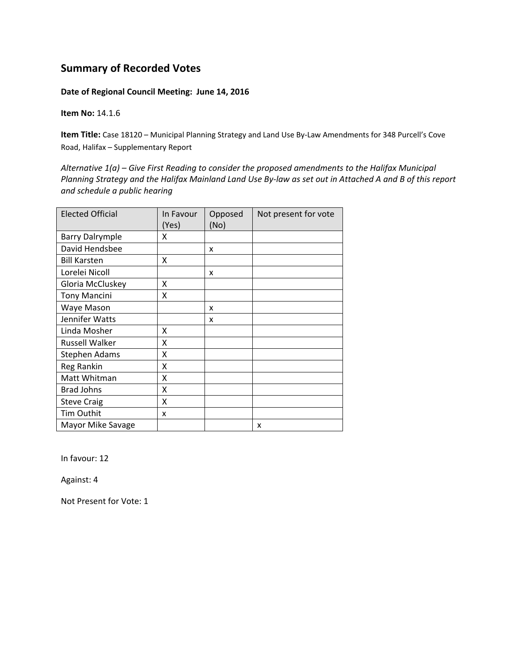#### **Date of Regional Council Meeting: June 14, 2016**

**Item No:** 14.1.6

**Item Title:** Case 18120 – Municipal Planning Strategy and Land Use By‐Law Amendments for 348 Purcell's Cove Road, Halifax – Supplementary Report

*Alternative 1(a) – Give First Reading to consider the proposed amendments to the Halifax Municipal* Planning Strategy and the Halifax Mainland Land Use By-law as set out in Attached A and B of this report *and schedule a public hearing*

| <b>Elected Official</b> | In Favour<br>(Yes) | Opposed<br>(No) | Not present for vote |
|-------------------------|--------------------|-----------------|----------------------|
| <b>Barry Dalrymple</b>  | x                  |                 |                      |
| David Hendsbee          |                    | x               |                      |
| <b>Bill Karsten</b>     | X                  |                 |                      |
| Lorelei Nicoll          |                    | x               |                      |
| Gloria McCluskey        | x                  |                 |                      |
| <b>Tony Mancini</b>     | X                  |                 |                      |
| Waye Mason              |                    | x               |                      |
| Jennifer Watts          |                    | x               |                      |
| Linda Mosher            | x                  |                 |                      |
| <b>Russell Walker</b>   | x                  |                 |                      |
| <b>Stephen Adams</b>    | X                  |                 |                      |
| Reg Rankin              | X                  |                 |                      |
| Matt Whitman            | X                  |                 |                      |
| <b>Brad Johns</b>       | Χ                  |                 |                      |
| <b>Steve Craig</b>      | X                  |                 |                      |
| Tim Outhit              | x                  |                 |                      |
| Mayor Mike Savage       |                    |                 | x                    |

In favour: 12

Against: 4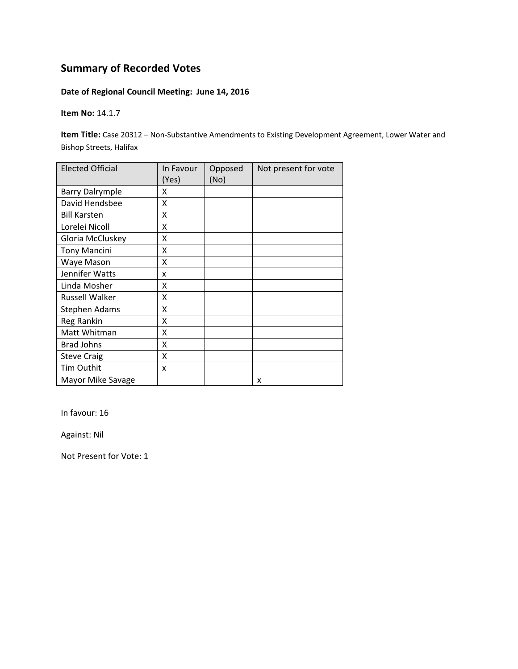### **Date of Regional Council Meeting: June 14, 2016**

**Item No:** 14.1.7

**Item Title:** Case 20312 – Non-Substantive Amendments to Existing Development Agreement, Lower Water and Bishop Streets, Halifax

| <b>Elected Official</b> | In Favour<br>(Yes) | Opposed<br>(No) | Not present for vote |
|-------------------------|--------------------|-----------------|----------------------|
| <b>Barry Dalrymple</b>  | x                  |                 |                      |
| David Hendsbee          | X                  |                 |                      |
| <b>Bill Karsten</b>     | X                  |                 |                      |
| Lorelei Nicoll          | X                  |                 |                      |
| Gloria McCluskey        | X                  |                 |                      |
| <b>Tony Mancini</b>     | Χ                  |                 |                      |
| Waye Mason              | χ                  |                 |                      |
| Jennifer Watts          | x                  |                 |                      |
| Linda Mosher            | x                  |                 |                      |
| <b>Russell Walker</b>   | Χ                  |                 |                      |
| Stephen Adams           | χ                  |                 |                      |
| Reg Rankin              | Χ                  |                 |                      |
| Matt Whitman            | X                  |                 |                      |
| <b>Brad Johns</b>       | X                  |                 |                      |
| <b>Steve Craig</b>      | X                  |                 |                      |
| Tim Outhit              | x                  |                 |                      |
| Mayor Mike Savage       |                    |                 | x                    |

In favour: 16

Against: Nil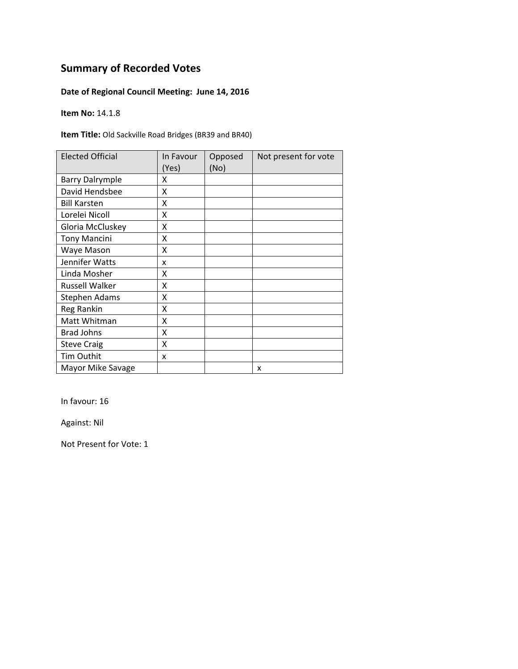### **Date of Regional Council Meeting: June 14, 2016**

**Item No:** 14.1.8

**Item Title:** Old Sackville Road Bridges (BR39 and BR40)

| <b>Elected Official</b> | In Favour<br>(Yes) | Opposed<br>(No) | Not present for vote |
|-------------------------|--------------------|-----------------|----------------------|
| <b>Barry Dalrymple</b>  | x                  |                 |                      |
| David Hendsbee          | X                  |                 |                      |
| <b>Bill Karsten</b>     | x                  |                 |                      |
| Lorelei Nicoll          | X                  |                 |                      |
| Gloria McCluskey        | Χ                  |                 |                      |
| <b>Tony Mancini</b>     | Χ                  |                 |                      |
| Waye Mason              | Χ                  |                 |                      |
| Jennifer Watts          | x                  |                 |                      |
| Linda Mosher            | x                  |                 |                      |
| <b>Russell Walker</b>   | χ                  |                 |                      |
| Stephen Adams           | X                  |                 |                      |
| Reg Rankin              | X                  |                 |                      |
| Matt Whitman            | X                  |                 |                      |
| <b>Brad Johns</b>       | X                  |                 |                      |
| <b>Steve Craig</b>      | Χ                  |                 |                      |
| <b>Tim Outhit</b>       | x                  |                 |                      |
| Mayor Mike Savage       |                    |                 | x                    |

In favour: 16

Against: Nil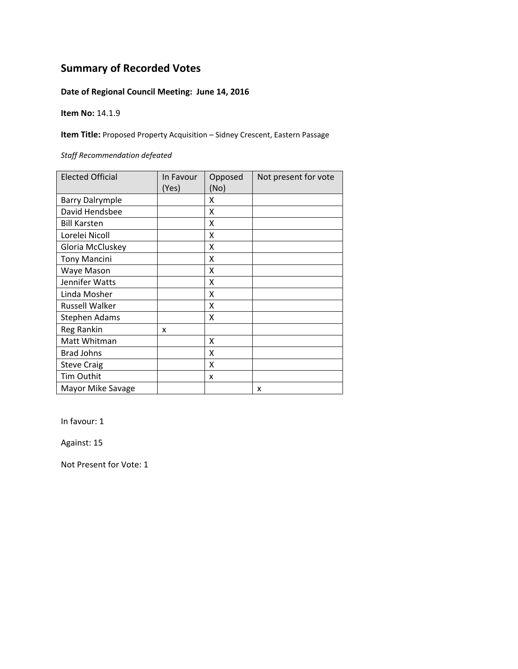### **Date of Regional Council Meeting: June 14, 2016**

**Item No:** 14.1.9

**Item Title:** Proposed Property Acquisition – Sidney Crescent, Eastern Passage

#### *Staff Recommendation defeated*

| <b>Elected Official</b> | In Favour<br>(Yes) | Opposed<br>(No) | Not present for vote |
|-------------------------|--------------------|-----------------|----------------------|
| <b>Barry Dalrymple</b>  |                    | X               |                      |
| David Hendsbee          |                    | X               |                      |
| <b>Bill Karsten</b>     |                    | x               |                      |
| Lorelei Nicoll          |                    | X               |                      |
| Gloria McCluskey        |                    | X               |                      |
| <b>Tony Mancini</b>     |                    | x               |                      |
| Waye Mason              |                    | X               |                      |
| Jennifer Watts          |                    | x               |                      |
| Linda Mosher            |                    | x               |                      |
| <b>Russell Walker</b>   |                    | X               |                      |
| <b>Stephen Adams</b>    |                    | X               |                      |
| Reg Rankin              | x                  |                 |                      |
| Matt Whitman            |                    | x               |                      |
| <b>Brad Johns</b>       |                    | X               |                      |
| <b>Steve Craig</b>      |                    | x               |                      |
| Tim Outhit              |                    | x               |                      |
| Mayor Mike Savage       |                    |                 | x                    |

In favour: 1

Against: 15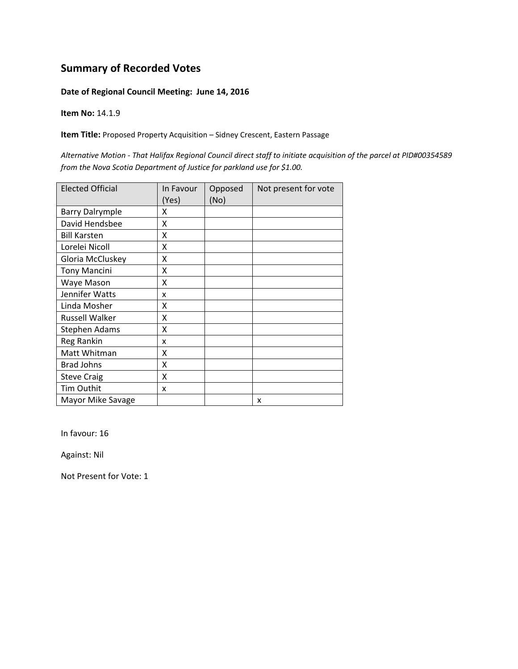#### **Date of Regional Council Meeting: June 14, 2016**

**Item No:** 14.1.9

**Item Title:** Proposed Property Acquisition – Sidney Crescent, Eastern Passage

Alternative Motion - That Halifax Regional Council direct staff to initiate acquisition of the parcel at PID#00354589 *from the Nova Scotia Department of Justice for parkland use for \$1.00.*

| <b>Elected Official</b> | In Favour | Opposed | Not present for vote |
|-------------------------|-----------|---------|----------------------|
|                         | (Yes)     | (No)    |                      |
| <b>Barry Dalrymple</b>  | x         |         |                      |
| David Hendsbee          | X         |         |                      |
| <b>Bill Karsten</b>     | X         |         |                      |
| Lorelei Nicoll          | X         |         |                      |
| Gloria McCluskey        | X         |         |                      |
| <b>Tony Mancini</b>     | x         |         |                      |
| Waye Mason              | Χ         |         |                      |
| Jennifer Watts          | x         |         |                      |
| Linda Mosher            | X         |         |                      |
| <b>Russell Walker</b>   | X         |         |                      |
| <b>Stephen Adams</b>    | X         |         |                      |
| <b>Reg Rankin</b>       | x         |         |                      |
| Matt Whitman            | X         |         |                      |
| <b>Brad Johns</b>       | Χ         |         |                      |
| <b>Steve Craig</b>      | x         |         |                      |
| Tim Outhit              | X         |         |                      |
| Mayor Mike Savage       |           |         | x                    |

In favour: 16

Against: Nil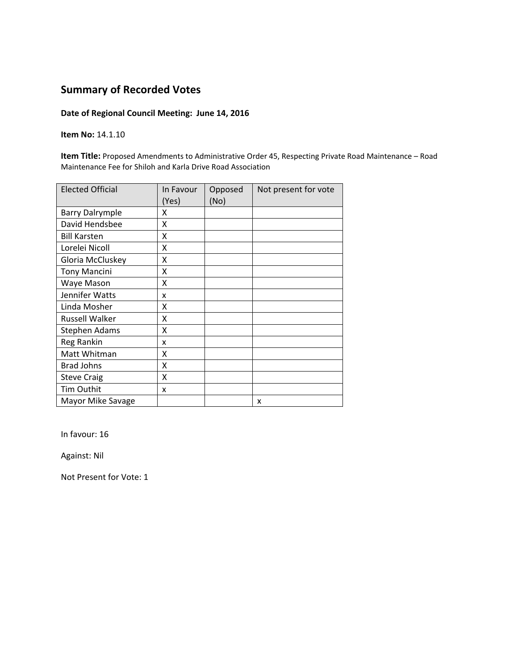### **Date of Regional Council Meeting: June 14, 2016**

**Item No:** 14.1.10

**Item Title:** Proposed Amendments to Administrative Order 45, Respecting Private Road Maintenance – Road Maintenance Fee for Shiloh and Karla Drive Road Association

| <b>Elected Official</b> | In Favour<br>(Yes) | Opposed<br>(No) | Not present for vote |
|-------------------------|--------------------|-----------------|----------------------|
| <b>Barry Dalrymple</b>  | X                  |                 |                      |
| David Hendsbee          | Χ                  |                 |                      |
| <b>Bill Karsten</b>     | X                  |                 |                      |
| Lorelei Nicoll          | Χ                  |                 |                      |
| Gloria McCluskey        | Χ                  |                 |                      |
| <b>Tony Mancini</b>     | Χ                  |                 |                      |
| Waye Mason              | x                  |                 |                      |
| Jennifer Watts          | x                  |                 |                      |
| Linda Mosher            | x                  |                 |                      |
| <b>Russell Walker</b>   | X                  |                 |                      |
| <b>Stephen Adams</b>    | X                  |                 |                      |
| Reg Rankin              | x                  |                 |                      |
| Matt Whitman            | X                  |                 |                      |
| <b>Brad Johns</b>       | X                  |                 |                      |
| <b>Steve Craig</b>      | X                  |                 |                      |
| Tim Outhit              | x                  |                 |                      |
| Mayor Mike Savage       |                    |                 | x                    |

In favour: 16

Against: Nil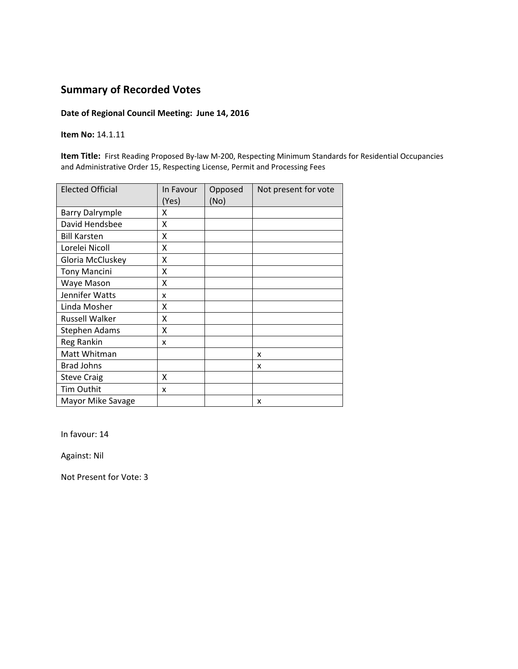### **Date of Regional Council Meeting: June 14, 2016**

**Item No:** 14.1.11

**Item Title:** First Reading Proposed By‐law M‐200, Respecting Minimum Standards for Residential Occupancies and Administrative Order 15, Respecting License, Permit and Processing Fees

| <b>Elected Official</b> | In Favour<br>(Yes) | Opposed<br>(No) | Not present for vote |
|-------------------------|--------------------|-----------------|----------------------|
| <b>Barry Dalrymple</b>  | x                  |                 |                      |
| David Hendsbee          | Χ                  |                 |                      |
| <b>Bill Karsten</b>     | Χ                  |                 |                      |
| Lorelei Nicoll          | X                  |                 |                      |
| Gloria McCluskey        | x                  |                 |                      |
| <b>Tony Mancini</b>     | Χ                  |                 |                      |
| Waye Mason              | X                  |                 |                      |
| Jennifer Watts          | x                  |                 |                      |
| Linda Mosher            | x                  |                 |                      |
| <b>Russell Walker</b>   | X                  |                 |                      |
| <b>Stephen Adams</b>    | X                  |                 |                      |
| Reg Rankin              | x                  |                 |                      |
| Matt Whitman            |                    |                 | x                    |
| <b>Brad Johns</b>       |                    |                 | x                    |
| <b>Steve Craig</b>      | X                  |                 |                      |
| Tim Outhit              | x                  |                 |                      |
| Mayor Mike Savage       |                    |                 | x                    |

In favour: 14

Against: Nil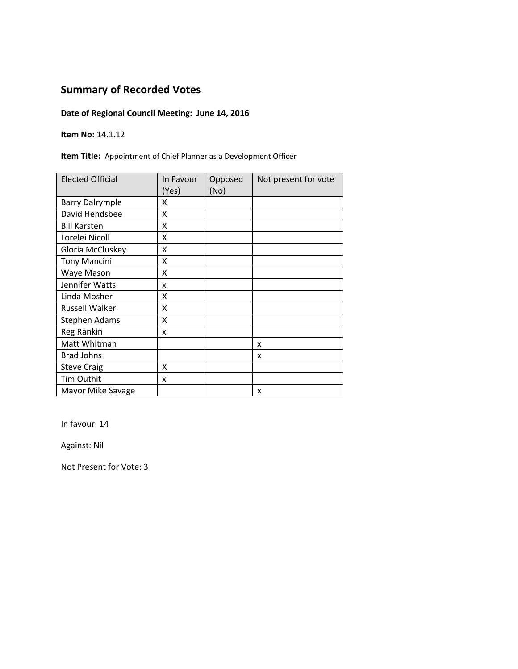### **Date of Regional Council Meeting: June 14, 2016**

**Item No:** 14.1.12

**Item Title:** Appointment of Chief Planner as a Development Officer

| <b>Elected Official</b> | In Favour<br>(Yes) | Opposed<br>(No) | Not present for vote |
|-------------------------|--------------------|-----------------|----------------------|
| <b>Barry Dalrymple</b>  | x                  |                 |                      |
| David Hendsbee          | X                  |                 |                      |
| <b>Bill Karsten</b>     | X                  |                 |                      |
| Lorelei Nicoll          | X                  |                 |                      |
| Gloria McCluskey        | Χ                  |                 |                      |
| <b>Tony Mancini</b>     | Χ                  |                 |                      |
| Waye Mason              | Χ                  |                 |                      |
| Jennifer Watts          | x                  |                 |                      |
| Linda Mosher            | x                  |                 |                      |
| <b>Russell Walker</b>   | Χ                  |                 |                      |
| Stephen Adams           | Χ                  |                 |                      |
| Reg Rankin              | x                  |                 |                      |
| Matt Whitman            |                    |                 | x                    |
| <b>Brad Johns</b>       |                    |                 | x                    |
| <b>Steve Craig</b>      | X                  |                 |                      |
| Tim Outhit              | x                  |                 |                      |
| Mayor Mike Savage       |                    |                 | x                    |

In favour: 14

Against: Nil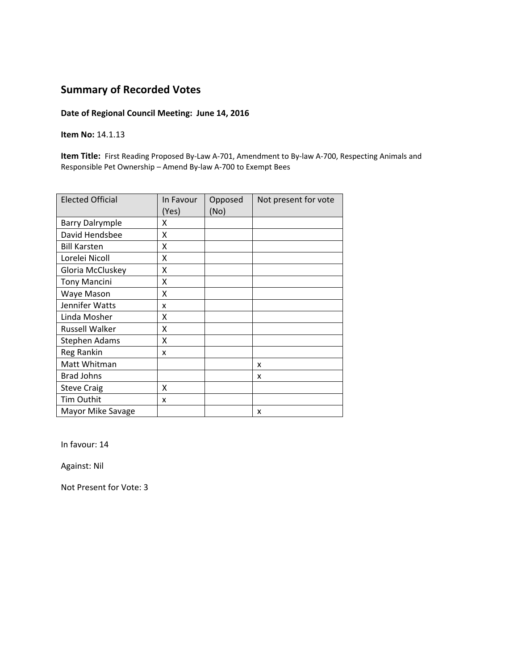### **Date of Regional Council Meeting: June 14, 2016**

**Item No:** 14.1.13

**Item Title:** First Reading Proposed By-Law A-701, Amendment to By-law A-700, Respecting Animals and Responsible Pet Ownership – Amend By‐law A‐700 to Exempt Bees

| <b>Elected Official</b> | In Favour<br>(Yes) | Opposed<br>(No) | Not present for vote |
|-------------------------|--------------------|-----------------|----------------------|
| <b>Barry Dalrymple</b>  | x                  |                 |                      |
| David Hendsbee          | X                  |                 |                      |
| <b>Bill Karsten</b>     | X                  |                 |                      |
| Lorelei Nicoll          | X                  |                 |                      |
| Gloria McCluskey        | X                  |                 |                      |
| <b>Tony Mancini</b>     | x                  |                 |                      |
| Waye Mason              | X                  |                 |                      |
| Jennifer Watts          | x                  |                 |                      |
| Linda Mosher            | x                  |                 |                      |
| <b>Russell Walker</b>   | x                  |                 |                      |
| Stephen Adams           | X                  |                 |                      |
| Reg Rankin              | x                  |                 |                      |
| Matt Whitman            |                    |                 | x                    |
| <b>Brad Johns</b>       |                    |                 | x                    |
| <b>Steve Craig</b>      | x                  |                 |                      |
| <b>Tim Outhit</b>       | x                  |                 |                      |
| Mayor Mike Savage       |                    |                 | x                    |

In favour: 14

Against: Nil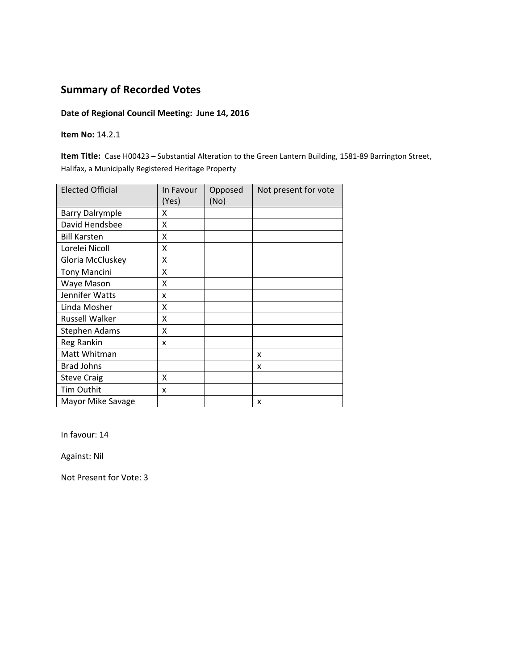### **Date of Regional Council Meeting: June 14, 2016**

#### **Item No:** 14.2.1

**Item Title:** Case H00423 **–** Substantial Alteration to the Green Lantern Building, 1581‐89 Barrington Street, Halifax, a Municipally Registered Heritage Property

| <b>Elected Official</b> | In Favour<br>(Yes) | Opposed<br>(No) | Not present for vote |
|-------------------------|--------------------|-----------------|----------------------|
| <b>Barry Dalrymple</b>  | x                  |                 |                      |
| David Hendsbee          | Χ                  |                 |                      |
| <b>Bill Karsten</b>     | x                  |                 |                      |
| Lorelei Nicoll          | X                  |                 |                      |
| Gloria McCluskey        | X                  |                 |                      |
| <b>Tony Mancini</b>     | Χ                  |                 |                      |
| Waye Mason              | X                  |                 |                      |
| Jennifer Watts          | x                  |                 |                      |
| Linda Mosher            | x                  |                 |                      |
| <b>Russell Walker</b>   | X                  |                 |                      |
| <b>Stephen Adams</b>    | X                  |                 |                      |
| Reg Rankin              | x                  |                 |                      |
| Matt Whitman            |                    |                 | x                    |
| <b>Brad Johns</b>       |                    |                 | x                    |
| <b>Steve Craig</b>      | X                  |                 |                      |
| Tim Outhit              | x                  |                 |                      |
| Mayor Mike Savage       |                    |                 | x                    |

In favour: 14

Against: Nil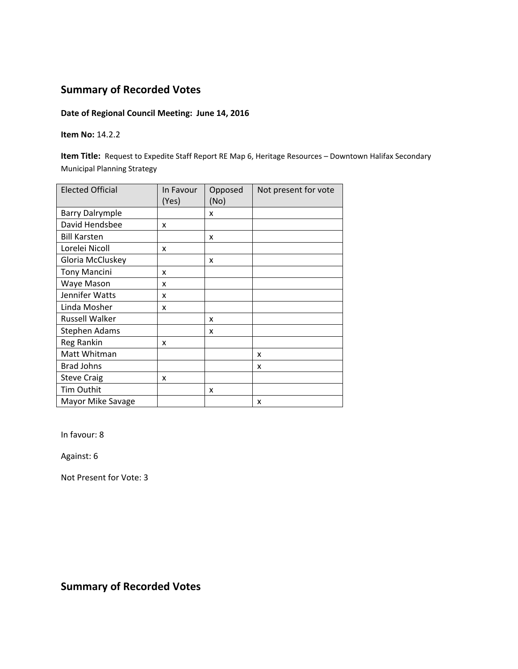### **Date of Regional Council Meeting: June 14, 2016**

#### **Item No:** 14.2.2

**Item Title:** Request to Expedite Staff Report RE Map 6, Heritage Resources - Downtown Halifax Secondary Municipal Planning Strategy

| <b>Elected Official</b> | In Favour<br>(Yes) | Opposed<br>(No) | Not present for vote |
|-------------------------|--------------------|-----------------|----------------------|
| <b>Barry Dalrymple</b>  |                    | X               |                      |
| David Hendsbee          | x                  |                 |                      |
| <b>Bill Karsten</b>     |                    | x               |                      |
| Lorelei Nicoll          | x                  |                 |                      |
| Gloria McCluskey        |                    | x               |                      |
| <b>Tony Mancini</b>     | x                  |                 |                      |
| Waye Mason              | x                  |                 |                      |
| Jennifer Watts          | x                  |                 |                      |
| Linda Mosher            | x                  |                 |                      |
| <b>Russell Walker</b>   |                    | x               |                      |
| <b>Stephen Adams</b>    |                    | X               |                      |
| Reg Rankin              | x                  |                 |                      |
| Matt Whitman            |                    |                 | X                    |
| <b>Brad Johns</b>       |                    |                 | x                    |
| <b>Steve Craig</b>      | x                  |                 |                      |
| <b>Tim Outhit</b>       |                    | x               |                      |
| Mayor Mike Savage       |                    |                 | x                    |

In favour: 8

Against: 6

Not Present for Vote: 3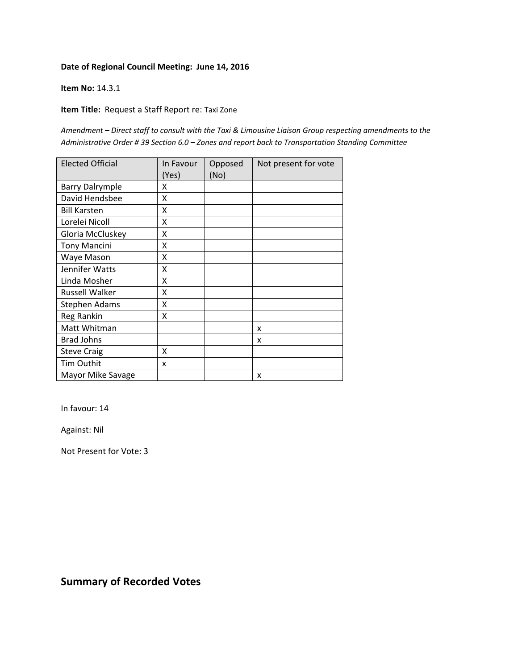#### **Item No:** 14.3.1

**Item Title:** Request a Staff Report re: Taxi Zone

*Amendment – Direct staff to consult with the Taxi & Limousine Liaison Group respecting amendments to the Administrative Order # 39 Section 6.0 – Zones and report back to Transportation Standing Committee*

| <b>Elected Official</b> | In Favour<br>(Yes) | Opposed<br>(No) | Not present for vote |
|-------------------------|--------------------|-----------------|----------------------|
| <b>Barry Dalrymple</b>  | x                  |                 |                      |
| David Hendsbee          | X                  |                 |                      |
| <b>Bill Karsten</b>     | X                  |                 |                      |
| Lorelei Nicoll          | X                  |                 |                      |
| Gloria McCluskey        | X                  |                 |                      |
| <b>Tony Mancini</b>     | X                  |                 |                      |
| Waye Mason              | x                  |                 |                      |
| Jennifer Watts          | X                  |                 |                      |
| Linda Mosher            | X                  |                 |                      |
| <b>Russell Walker</b>   | Χ                  |                 |                      |
| Stephen Adams           | Χ                  |                 |                      |
| Reg Rankin              | x                  |                 |                      |
| Matt Whitman            |                    |                 | x                    |
| <b>Brad Johns</b>       |                    |                 | x                    |
| <b>Steve Craig</b>      | X                  |                 |                      |
| Tim Outhit              | x                  |                 |                      |
| Mayor Mike Savage       |                    |                 | X                    |

In favour: 14

Against: Nil

Not Present for Vote: 3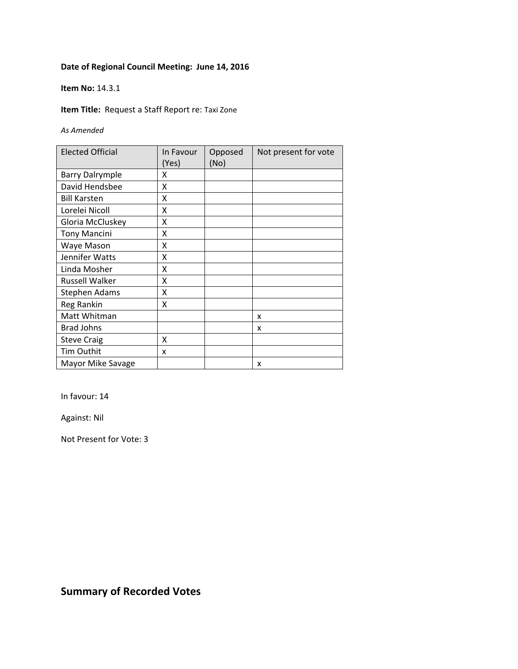#### **Item No:** 14.3.1

**Item Title:** Request a Staff Report re: Taxi Zone

*As Amended*

| <b>Elected Official</b> | In Favour<br>(Yes) | Opposed<br>(No) | Not present for vote |
|-------------------------|--------------------|-----------------|----------------------|
| <b>Barry Dalrymple</b>  | x                  |                 |                      |
| David Hendsbee          | X                  |                 |                      |
| <b>Bill Karsten</b>     | X                  |                 |                      |
| Lorelei Nicoll          | X                  |                 |                      |
| Gloria McCluskey        | Χ                  |                 |                      |
| <b>Tony Mancini</b>     | X                  |                 |                      |
| Waye Mason              | x                  |                 |                      |
| Jennifer Watts          | Χ                  |                 |                      |
| Linda Mosher            | x                  |                 |                      |
| <b>Russell Walker</b>   | x                  |                 |                      |
| <b>Stephen Adams</b>    | x                  |                 |                      |
| Reg Rankin              | x                  |                 |                      |
| Matt Whitman            |                    |                 | x                    |
| <b>Brad Johns</b>       |                    |                 | x                    |
| <b>Steve Craig</b>      | X                  |                 |                      |
| Tim Outhit              | x                  |                 |                      |
| Mayor Mike Savage       |                    |                 | x                    |

In favour: 14

Against: Nil

Not Present for Vote: 3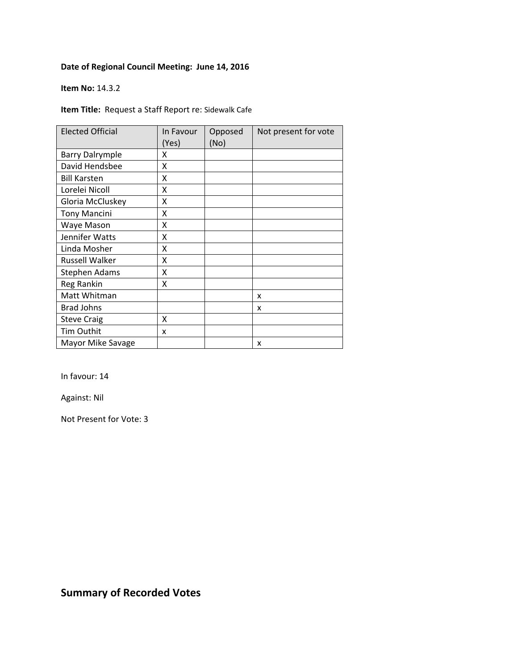#### **Item No:** 14.3.2

**Item Title:** Request a Staff Report re: Sidewalk Cafe

| <b>Elected Official</b> | In Favour<br>(Yes) | Opposed<br>(No) | Not present for vote |
|-------------------------|--------------------|-----------------|----------------------|
| <b>Barry Dalrymple</b>  | χ                  |                 |                      |
| David Hendsbee          | Χ                  |                 |                      |
| <b>Bill Karsten</b>     | χ                  |                 |                      |
| Lorelei Nicoll          | χ                  |                 |                      |
| Gloria McCluskey        | χ                  |                 |                      |
| <b>Tony Mancini</b>     | χ                  |                 |                      |
| Waye Mason              | χ                  |                 |                      |
| Jennifer Watts          | χ                  |                 |                      |
| Linda Mosher            | Χ                  |                 |                      |
| <b>Russell Walker</b>   | Χ                  |                 |                      |
| <b>Stephen Adams</b>    | Χ                  |                 |                      |
| Reg Rankin              | Χ                  |                 |                      |
| Matt Whitman            |                    |                 | x                    |
| <b>Brad Johns</b>       |                    |                 | x                    |
| <b>Steve Craig</b>      | x                  |                 |                      |
| Tim Outhit              | x                  |                 |                      |
| Mayor Mike Savage       |                    |                 | x                    |

In favour: 14

Against: Nil

Not Present for Vote: 3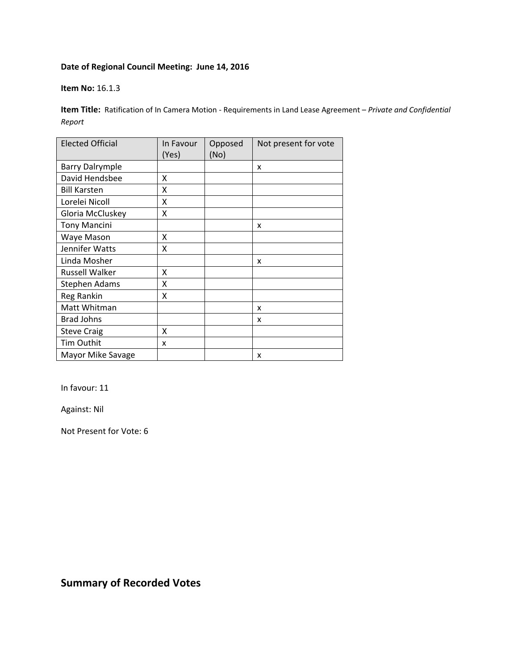#### **Item No:** 16.1.3

**Item Title:** Ratification of In Camera Motion ‐ Requirements in Land Lease Agreement – *Private and Confidential Report*

| <b>Elected Official</b> | In Favour<br>(Yes) | Opposed<br>(No) | Not present for vote |
|-------------------------|--------------------|-----------------|----------------------|
| <b>Barry Dalrymple</b>  |                    |                 | X                    |
| David Hendsbee          | Χ                  |                 |                      |
| <b>Bill Karsten</b>     | x                  |                 |                      |
| Lorelei Nicoll          | X                  |                 |                      |
| Gloria McCluskey        | X                  |                 |                      |
| <b>Tony Mancini</b>     |                    |                 | x                    |
| Waye Mason              | x                  |                 |                      |
| Jennifer Watts          | Χ                  |                 |                      |
| Linda Mosher            |                    |                 | x                    |
| <b>Russell Walker</b>   | Χ                  |                 |                      |
| <b>Stephen Adams</b>    | Χ                  |                 |                      |
| Reg Rankin              | Χ                  |                 |                      |
| Matt Whitman            |                    |                 | x                    |
| <b>Brad Johns</b>       |                    |                 | x                    |
| <b>Steve Craig</b>      | X                  |                 |                      |
| <b>Tim Outhit</b>       | x                  |                 |                      |
| Mayor Mike Savage       |                    |                 | x                    |

In favour: 11

Against: Nil

Not Present for Vote: 6